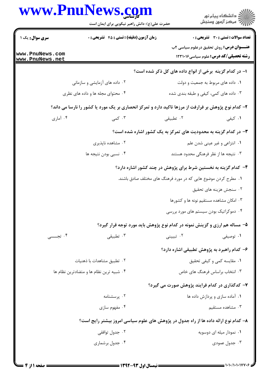|                                    | www.PnuNews.com                                                                                      |                                                                            | ڪ دانشڪاه پيام نور<br>/7 مرڪز آزمون وسنڊش                                                      |  |
|------------------------------------|------------------------------------------------------------------------------------------------------|----------------------------------------------------------------------------|------------------------------------------------------------------------------------------------|--|
|                                    | حضرت علی(ع): دانش راهبر نیکویی برای ایمان است                                                        |                                                                            |                                                                                                |  |
| سری سوال: یک ۱                     | زمان آزمون (دقیقه) : تستی : 45 آتشریحی : 0                                                           |                                                                            | تعداد سوالات : تستي : 30 ٪ تشريحي : 0                                                          |  |
| www.PnuNews.com<br>www.PnuNews.net |                                                                                                      |                                                                            | <b>عنـــوان درس:</b> روش تحقیق درعلوم سیاسی ۲ب<br><b>رشته تحصیلی/کد درس:</b> علوم سیاسی1۲۳۱۰۱۶ |  |
|                                    |                                                                                                      | ا- در کدام گزینه برخی از انواع داده های کل ذکر شده است؟                    |                                                                                                |  |
|                                    | ۲. داده های آزمایشی و سازمانی                                                                        |                                                                            | ٠١ داده های مربوط به جمعیت و دولت                                                              |  |
|                                    | ۰۴ محتوای مجله ها و داده های نظری                                                                    |                                                                            | ۰۳ داده های کمی، کیفی و طبقه بندی شده                                                          |  |
|                                    | ۲- کدام نوع پژوهش بر فرارفت از مرزها تاکید دارد و تمرکز انحصاری بر یک مورد یا کشور را نارسا می داند؟ |                                                                            |                                                                                                |  |
| ۰۴ آماری                           | ۰۳ کمی                                                                                               | ۰۲ تطبیقی                                                                  | ۰۱ کیفی                                                                                        |  |
|                                    |                                                                                                      | ۳- در کدام گزینه به محدودیت های تمرکز به یک کشور اشاره شده است؟            |                                                                                                |  |
|                                    | ۰۲ مشاهده ناپذیری                                                                                    |                                                                            | ۰۱ انتزاعی و غیر عینی شدن علم                                                                  |  |
|                                    | ۴. نسبی بودن نتیجه ها                                                                                |                                                                            | ۰۳ نتیجه ها از نظر فرهنگی محدود هستند                                                          |  |
|                                    |                                                                                                      | ۴– کدام گزینه به نخستین شرط برای پژوهش در چند کشور اشاره دارد؟             |                                                                                                |  |
|                                    |                                                                                                      | ۱. مطرح کردن موضوع هایی که در مورد فرهنگ های مختلف صادق باشند.             |                                                                                                |  |
|                                    |                                                                                                      |                                                                            | ۰۲ سنجش هزینه های تحقیق                                                                        |  |
|                                    |                                                                                                      |                                                                            | ۰۳ امکان مشاهده مستقیم نونه ها و کشورها                                                        |  |
|                                    |                                                                                                      | ۰۴ دموکراتیک بودن سیستم های مورد بررسی                                     |                                                                                                |  |
|                                    |                                                                                                      | ۵- مساله هم ارزی و گزینش نمونه در کدام نوع پژوهش باید مورد توجه قرار گیرد؟ |                                                                                                |  |
| ۰۴ تجسسی                           | ۰۳ تطبیقی                                                                                            | ۰۲ تبیینی                                                                  | ۰۱ توصیفی                                                                                      |  |
|                                    |                                                                                                      | ۶– کدام راهبرد به پژوهش تطبیقی اشاره دارد؟                                 |                                                                                                |  |
|                                    | ۰۲ تطبیق مشاهدات با ذهنیات                                                                           |                                                                            | ٠١. مقايسه كمي و كيفي تحقيق                                                                    |  |
|                                    | ۰۴ شبیه ترین نظام ها و متضادترین نظام ها                                                             |                                                                            | ۰۳ انتخاب براساس فرهنگ های خاص                                                                 |  |
|                                    |                                                                                                      | ۷- کدگذاری در کدام فرایند پژوهش صورت می گیرد؟                              |                                                                                                |  |
|                                    | ۰۲ پرسشنامه                                                                                          |                                                                            | ۰۱ آماده سازی و پردازش داده ها                                                                 |  |
|                                    | ۰۴ مفهوم سازی                                                                                        |                                                                            | ۰۳ مشاهده مستقیم                                                                               |  |
|                                    | ۸– کدام نوع ارائه داده ها از راه جدول در پژوهش های علوم سیاسی امروز بیشتر رایج است؟                  |                                                                            |                                                                                                |  |
|                                    | ۰۲ جدول توافقی                                                                                       |                                                                            | ۰۱ نمودار میله ای دوسویه                                                                       |  |
|                                    | ۰۴ جدول برشماری                                                                                      |                                                                            | ۰۳ جدول عمودی                                                                                  |  |
|                                    |                                                                                                      |                                                                            |                                                                                                |  |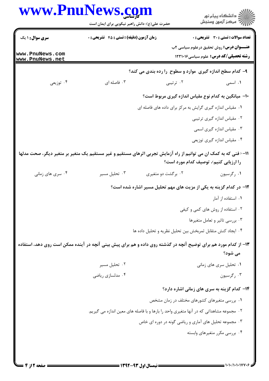| www.PnuNews.com  |                                                                                                                   |                                                                                         | ڪ دانشڪاه پيام نور<br>∕ مرڪز آزمون وسنڊش                                                       |
|------------------|-------------------------------------------------------------------------------------------------------------------|-----------------------------------------------------------------------------------------|------------------------------------------------------------------------------------------------|
|                  | حضرت علی(ع): دانش راهبر نیکویی برای ایمان است                                                                     |                                                                                         |                                                                                                |
| سری سوال: ۱ یک   | زمان آزمون (دقیقه) : تستی : 45 آتشریحی : 0                                                                        |                                                                                         | تعداد سوالات : تستي : 30 ٪ تشريحي : 0                                                          |
| www.PnuNews.com  |                                                                                                                   |                                                                                         | <b>عنـــوان درس:</b> روش تحقیق درعلوم سیاسی ۲ب<br><b>رشته تحصیلی/کد درس:</b> علوم سیاسی1۲۳۱۰۱۶ |
| www.PnuNews.net  |                                                                                                                   |                                                                                         |                                                                                                |
|                  |                                                                                                                   | ۹- کدام سطح اندازه گیری موارد و سطوح را رده بندی می کند؟                                |                                                                                                |
| ۰۴ توزیعی        | ۰۳ فاصله ای                                                                                                       | ۰۲ ترتیبی                                                                               | ۰۱ اسمی                                                                                        |
|                  |                                                                                                                   | ∙ا− میانگین به کدام نوع مقیاس اندازه گیری مربوط است؟                                    |                                                                                                |
|                  |                                                                                                                   | ۰۱ مقیاس اندازه گیری گرایش به مرکز برای داده های فاصله ای                               |                                                                                                |
|                  |                                                                                                                   |                                                                                         | ۰۲ مقیاس اندازه گیری ترتیبی                                                                    |
|                  |                                                                                                                   |                                                                                         | ۰۳ مقیاس اندازه گیری اسمی                                                                      |
|                  |                                                                                                                   |                                                                                         | ۰۴ مقیاس اندازه گیری توزیعی                                                                    |
|                  | 11– < فنی که به کمک ان می توانیم از راه آزمایش تجربی اثرهای مستقیم و غیر مستقیم یک متغیر بر متغیر دیگر، صحت مدلها |                                                                                         | را ارزیابی کنیم›، توصیف کدام مورد است؟                                                         |
| ۰۴ سری های زمانی | ۰۳ تحلیل مسیر                                                                                                     | ۰۲ برگشت دو متغیری                                                                      | ۰۱ رگرسیون                                                                                     |
|                  | ۱۲- در کدام گزینه به یکی از مزیت های مهم تحلیل مسیر اشاره شده است؟                                                |                                                                                         |                                                                                                |
|                  |                                                                                                                   |                                                                                         | ۰۱ استفاده از آمار                                                                             |
|                  |                                                                                                                   |                                                                                         | ۰۲ استفاده از روش های کمی و کیفی                                                               |
|                  |                                                                                                                   |                                                                                         | ۰۳ بررسی تاثیر و تعامل متغیرها                                                                 |
|                  |                                                                                                                   | ۰۴ ایجاد کنش متقابل ثمربخش بین تحلیل نظریه و تحلیل داده ها                              |                                                                                                |
|                  | ۱۳- از کدام مورد هم برای توضیح آنچه در گذشته روی داده و هم برای پیش بینی آنچه در آینده ممکن است روی دهد، استفاده  |                                                                                         |                                                                                                |
|                  |                                                                                                                   |                                                                                         | می شود؟                                                                                        |
|                  | ۰۲ تحلیل مسیر                                                                                                     |                                                                                         | ۰۱ تحلیل سری های زمانی                                                                         |
|                  | ۰۴ مدلسازی ریاضی                                                                                                  |                                                                                         | ۰۳ رگرسيون                                                                                     |
|                  |                                                                                                                   |                                                                                         | ۱۴- کدام گزینه به سری های زمانی اشاره دارد؟                                                    |
|                  |                                                                                                                   | ۰۱ بررسی متغیرهای کشورهای مختلف در زمان مشخص                                            |                                                                                                |
|                  |                                                                                                                   | ۰۲ مجموعه مشاهداتی که در آنها متغیری واحد را بارها و با فاصله های معین اندازه می گیریم. |                                                                                                |
|                  |                                                                                                                   | ۰۳ مجموعه تحلیل های آماری و ریاضی گونه در دوره ای خاص                                   |                                                                                                |
|                  |                                                                                                                   |                                                                                         | ۰۴ بررسی مکرر متغیرهای وابسته                                                                  |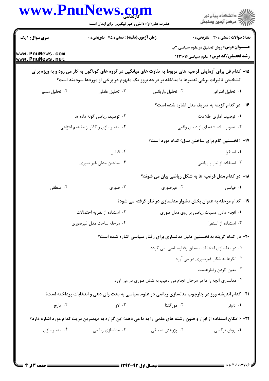|                                    | www.Pnulvews.com<br>حضرت علی(ع): دانش راهبر نیکویی برای ایمان است                                                                                                                                         |                                                                          | ≦ دانشڪاه پيام نور<br>7- مرڪز آزمون وسنڊش                                                      |  |
|------------------------------------|-----------------------------------------------------------------------------------------------------------------------------------------------------------------------------------------------------------|--------------------------------------------------------------------------|------------------------------------------------------------------------------------------------|--|
| <b>سری سوال : ۱ یک</b>             | زمان آزمون (دقیقه) : تستی : 45 گتشریحی : 0                                                                                                                                                                |                                                                          | <b>تعداد سوالات : تستی : 30 ٪ تشریحی : 0</b>                                                   |  |
| www.PnuNews.com<br>www.PnuNews.net |                                                                                                                                                                                                           |                                                                          | <b>عنـــوان درس:</b> روش تحقیق درعلوم سیاسی ۲ب<br><b>رشته تحصیلی/کد درس:</b> علوم سیاسی1۲۳۱۰۱۶ |  |
|                                    | ۱۵– کدام فن برای آزمایش فرضیه های مربوط به تفاوت های میانگین در گروه های گوناگون به کار می رود و به ویژه برای<br>تشخیص تاثیرات برخی تدبیرها یا مداخله بر درجه بروز یک مفهوم در برخی از موردها سودمند است؟ |                                                                          |                                                                                                |  |
| ۰۴ تحلیل مسیر                      | ۰۳ تحلیل عاملی                                                                                                                                                                                            | ۰۲ تحلیل واریانس                                                         | ٠١ تحليل افتراقي                                                                               |  |
|                                    |                                                                                                                                                                                                           |                                                                          | ۱۶– در کدام گزینه به تعریف مدل اشاره شده است؟                                                  |  |
| ۰۲ توصیف ریاضی گونه داده ها        |                                                                                                                                                                                                           |                                                                          | ۰۱ توصیف آماری اطلاعات                                                                         |  |
|                                    | ۰۴ متغیرسازی و گذار از مفاهیم انتزاعی                                                                                                                                                                     |                                                                          | ۰۳ تصویر ساده شده ای از دنیای واقعی                                                            |  |
|                                    |                                                                                                                                                                                                           | ۱۷– ‹نخستین گام برای ساختن مدل› کدام مورد است؟                           |                                                                                                |  |
|                                    | ۰۲ قیاس                                                                                                                                                                                                   |                                                                          | ۰۱ استقرا                                                                                      |  |
|                                    | ۰۴ ساختن مدلی غیر صوری                                                                                                                                                                                    |                                                                          | ۰۳ استفاده از امار و ریاضی                                                                     |  |
|                                    |                                                                                                                                                                                                           | <b>۱۸</b> - در کدام مدل فرضیه ها به شکل ریاضی بیان می شوند؟              |                                                                                                |  |
| ۰۴ منطقی                           | ۰۳ صوری                                                                                                                                                                                                   | ۰۲ غیرصوری                                                               | ۰۱ قیاسی                                                                                       |  |
|                                    |                                                                                                                                                                                                           | ۱۹- کدام مرحله به عنوان بخش دشوار مدلسازی در نظر گرفته می شود؟           |                                                                                                |  |
| ۰۲ استفاده از نظریه احتمالات       |                                                                                                                                                                                                           |                                                                          | ٠١ انجام دادن عمليات رياضي بر روى مدل صورى                                                     |  |
| ۰۴ مرحله ساخت مدل غیرصوری          |                                                                                                                                                                                                           | ۰۳ استفاده از استقرا                                                     |                                                                                                |  |
|                                    |                                                                                                                                                                                                           | ۲۰- در کدام گزینه به نخستین دلیل مدلسازی برای رفتار سیاسی اشاره شده است؟ |                                                                                                |  |
|                                    |                                                                                                                                                                                                           | ۰۱ در مدلسازی انتخابات مصداق رفتارسیاسی می گردد                          |                                                                                                |  |
|                                    |                                                                                                                                                                                                           |                                                                          | ۰۲ الگوها به شکل غیرصوری در می آورد                                                            |  |
|                                    |                                                                                                                                                                                                           |                                                                          | ۰۳ معین کردن رفتارهاست                                                                         |  |
|                                    |                                                                                                                                                                                                           | ۰۴ مدلسازی آنچه را ما در هرحال انجام می دهیم، به شکل صوری در می آورد     |                                                                                                |  |
|                                    | <b>۲۱</b> - کدام اندیشه ورز در چارچوب مدلسازی ریاضی در علوم سیاسی به بحث رای دهی و انتخابات پرداخته است؟                                                                                                  |                                                                          |                                                                                                |  |
| ۰۴ مارچ                            | ۰۳ $Y_9$                                                                                                                                                                                                  | ۰۲ مورگنتا                                                               | ۰۱ داونز                                                                                       |  |
|                                    | <b>۲۲</b> – ‹امکان استفاده از ابزار و فنون رشته های علمی را به ما می دهد› این گزاره به مهمترین مزیت کدام مورد اشاره دارد؟                                                                                 |                                                                          |                                                                                                |  |
| ۰۴ متغیرسازی                       | ۰۳ مدلسازی ریاضی                                                                                                                                                                                          | ۰۲ پژوهش تطبیقی                                                          | ۰۱ روش ترکیبی                                                                                  |  |
|                                    |                                                                                                                                                                                                           |                                                                          |                                                                                                |  |
|                                    |                                                                                                                                                                                                           |                                                                          |                                                                                                |  |

 $\blacksquare$